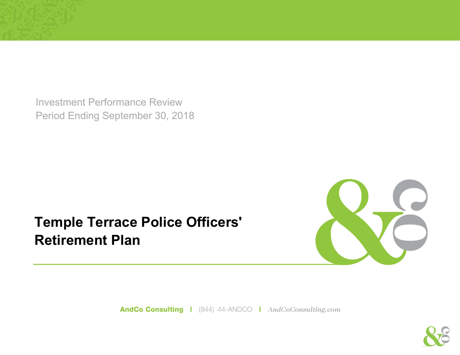Investment Performance Review Period Ending September 30, 2018

## **Temple Terrace Police Officers' Retirement Plan**



AndCo Consulting | (844) 44-ANDCO | AndCoConsulting.com

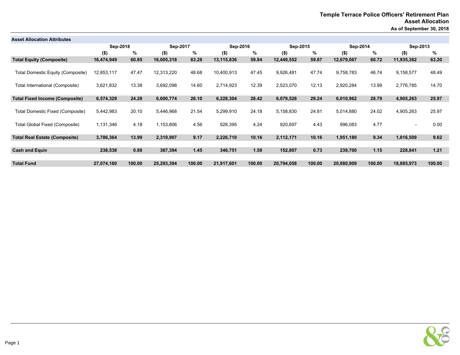| <b>Asset Allocation Attributes</b>       |            |        |            |        |            |        |            |        |            |        |                          |        |
|------------------------------------------|------------|--------|------------|--------|------------|--------|------------|--------|------------|--------|--------------------------|--------|
|                                          | Sep-2018   |        | Sep-2017   |        | Sep-2016   |        | Sep-2015   |        | Sep-2014   |        | Sep-2013                 |        |
|                                          | $($ \$)    | %      | $($ \$)    | %      | $($ \$)    | %      | $($ \$)    | %      | $($ \$)    | %      | $($ \$)                  | %      |
| <b>Total Equity (Composite)</b>          | 16,474,949 | 60.85  | 16,005,318 | 63.28  | 13,115,836 | 59.84  | 12,449,552 | 59.87  | 12,679,067 | 60.72  | 11,935,362               | 63.20  |
| <b>Total Domestic Equity (Composite)</b> | 12,853,117 | 47.47  | 12,313,220 | 48.68  | 10,400,913 | 47.45  | 9,926,481  | 47.74  | 9,758,783  | 46.74  | 9,158,577                | 48.49  |
| International (Composite)<br>Total       | 3,621,832  | 13.38  | 3,692,098  | 14.60  | 2,714,923  | 12.39  | 2,523,070  | 12.13  | 2,920,284  | 13.99  | 2,776,785                | 14.70  |
| <b>Total Fixed Income (Composite)</b>    | 6,574,329  | 24.28  | 6,600,774  | 26.10  | 6,228,304  | 28.42  | 6,079,528  | 29.24  | 6,010,962  | 28.79  | 4,905,263                | 25.97  |
| Total Domestic Fixed (Composite)         | 5,442,983  | 20.10  | 5,446,968  | 21.54  | 5,299,910  | 24.18  | 5,158,830  | 24.81  | 5,014,880  | 24.02  | 4,905,263                | 25.97  |
| Total Global Fixed (Composite)           | 1,131,346  | 4.18   | 1,153,806  | 4.56   | 928,395    | 4.24   | 920,697    | 4.43   | 996,083    | 4.77   | $\overline{\phantom{0}}$ | 0.00   |
| <b>Total Real Estate (Composite)</b>     | 3,786,364  | 13.99  | 2,319,907  | 9.17   | 2,226,710  | 10.16  | 2,112,171  | 10.16  | 1,951,180  | 9.34   | 1,816,509                | 9.62   |
| <b>Cash and Equiv</b>                    | 238,538    | 0.88   | 367,394    | 1.45   | 346,751    | 1.58   | 152,807    | 0.73   | 239,700    | 1.15   | 228,841                  | 1.21   |
| <b>Total Fund</b>                        | 27,074,180 | 100.00 | 25,293,394 | 100.00 | 21,917,601 | 100.00 | 20,794,058 | 100.00 | 20,880,909 | 100.00 | 18,885,973               | 100.00 |